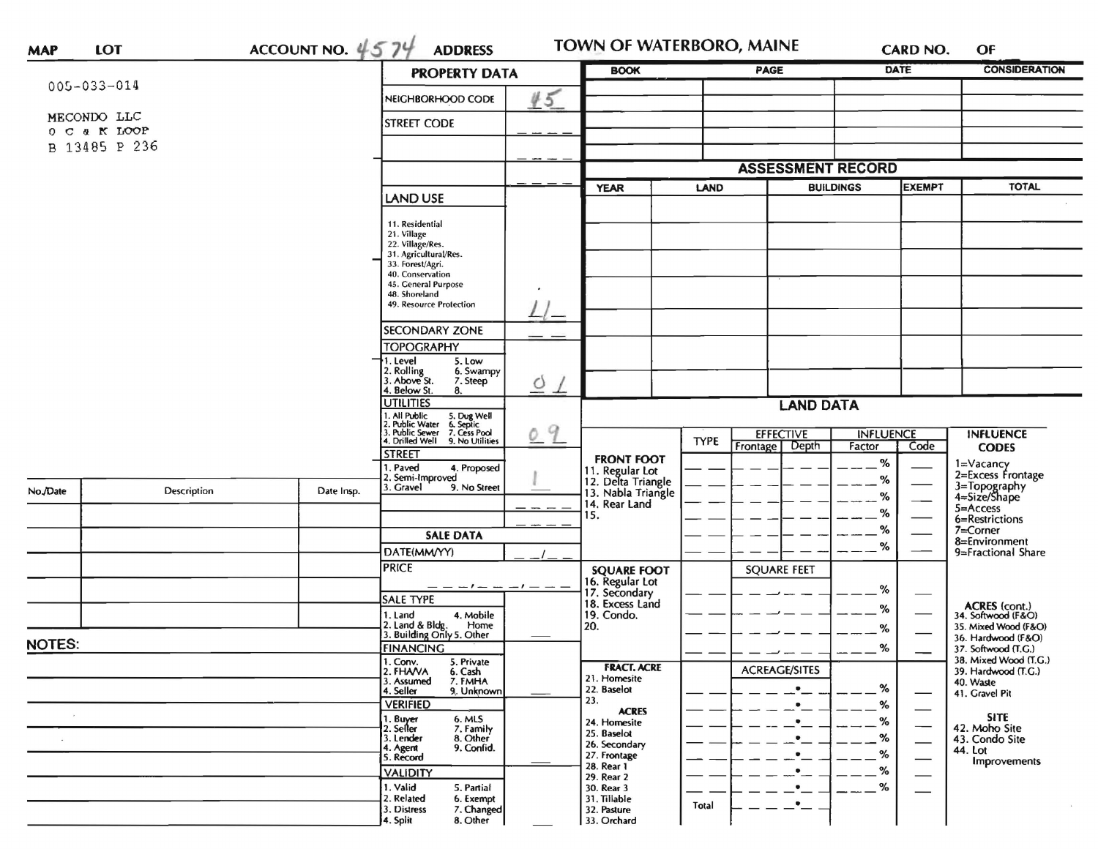| <b>MAP</b>    | <b>LOT</b>        | ACCOUNT NO. $4574$ | <b>ADDRESS</b>                                                                                                                                                           |                                                             | TOWN OF WATERBORO, MAINE                     | CARD NO.                          | OF                                         |  |  |
|---------------|-------------------|--------------------|--------------------------------------------------------------------------------------------------------------------------------------------------------------------------|-------------------------------------------------------------|----------------------------------------------|-----------------------------------|--------------------------------------------|--|--|
|               |                   |                    | <b>PROPERTY DATA</b>                                                                                                                                                     | <b>BOOK</b>                                                 | PAGE                                         | DATE                              | <b>CONSIDERATION</b>                       |  |  |
|               | $005 - 033 - 014$ |                    | 45<br>NEIGHBORHOOD CODE                                                                                                                                                  |                                                             |                                              |                                   |                                            |  |  |
|               | MECONDO LLC       |                    |                                                                                                                                                                          |                                                             |                                              |                                   |                                            |  |  |
|               | O C & K LOOP      |                    | <b>STREET CODE</b>                                                                                                                                                       |                                                             |                                              |                                   |                                            |  |  |
| B 13485 P 236 |                   |                    |                                                                                                                                                                          |                                                             |                                              |                                   |                                            |  |  |
|               |                   |                    |                                                                                                                                                                          |                                                             | <b>ASSESSMENT RECORD</b>                     |                                   |                                            |  |  |
|               |                   |                    |                                                                                                                                                                          | <b>YEAR</b>                                                 | LAND                                         | <b>EXEMPT</b><br><b>BUILDINGS</b> | <b>TOTAL</b>                               |  |  |
|               |                   |                    | <b>LAND USE</b>                                                                                                                                                          |                                                             |                                              |                                   |                                            |  |  |
|               |                   | 11. Residential    |                                                                                                                                                                          |                                                             |                                              |                                   |                                            |  |  |
|               |                   |                    | 21. Village<br>22. Village/Res.                                                                                                                                          |                                                             |                                              |                                   |                                            |  |  |
|               |                   |                    | 31. Agricultural/Res.<br>33. Forest/Agri.                                                                                                                                |                                                             |                                              |                                   |                                            |  |  |
|               |                   |                    | 40. Conservation<br>45. General Purpose                                                                                                                                  |                                                             |                                              |                                   |                                            |  |  |
|               |                   |                    | 48. Shoreland<br>49. Resource Protection                                                                                                                                 |                                                             |                                              |                                   |                                            |  |  |
|               |                   |                    |                                                                                                                                                                          |                                                             |                                              |                                   |                                            |  |  |
|               |                   |                    | <b>SECONDARY ZONE</b>                                                                                                                                                    |                                                             |                                              |                                   |                                            |  |  |
|               |                   |                    | <b>TOPOGRAPHY</b><br>1. Level<br>5. Low                                                                                                                                  |                                                             |                                              |                                   |                                            |  |  |
|               |                   |                    | 2. Rolling<br>3. Above St.<br>6. Swampy<br>7. Steep                                                                                                                      |                                                             |                                              |                                   |                                            |  |  |
|               |                   |                    | $\circ$<br>4. Below St.<br>8.                                                                                                                                            | $\perp$                                                     |                                              |                                   |                                            |  |  |
|               |                   |                    | <b>UTILITIES</b>                                                                                                                                                         |                                                             | <b>LAND DATA</b>                             |                                   |                                            |  |  |
|               |                   |                    | 1. All Public<br>2. Public Water<br>1. All Public 5. Dug Well<br>2. Public Water 6. Septic<br>3. Public Sewer 7. Cess Pool<br>4. Drilled Well 9. No Utilities<br>9<br>O. |                                                             | <b>EFFECTIVE</b>                             | <b>INFLUENCE</b>                  | <b>INFLUENCE</b>                           |  |  |
|               |                   |                    | <b>STREET</b>                                                                                                                                                            |                                                             | <b>TYPE</b><br>Depth<br>Frontage             | Code<br>Factor                    | <b>CODES</b>                               |  |  |
|               |                   |                    | I. Paved<br>4. Proposed                                                                                                                                                  | <b>FRONT FOOT</b>                                           |                                              | %                                 | 1=Vacancy<br>2=Excess Frontage             |  |  |
| No./Date      | Description       | Date Insp.         | 2. Semi-Improved<br>3. Gravel<br>9. No Street                                                                                                                            | 11. Regular Lot<br>12. Delta Triangle<br>13. Nabla Triangle |                                              | %                                 | 3=Topography<br>4=Size/Shape               |  |  |
|               |                   |                    |                                                                                                                                                                          | 14. Rear Land                                               |                                              | %                                 | 5=Access                                   |  |  |
|               |                   |                    |                                                                                                                                                                          | 15.                                                         |                                              | %<br>$\%$                         | 6=Restrictions<br>7=Corner                 |  |  |
|               |                   |                    | <b>SALE DATA</b>                                                                                                                                                         |                                                             |                                              | ℅                                 | 8=Environment                              |  |  |
|               |                   |                    | DATE(MM/YY)<br><b>PRICE</b>                                                                                                                                              |                                                             |                                              |                                   | 9=Fractional Share                         |  |  |
|               |                   |                    |                                                                                                                                                                          | <b>SQUARE FOOT</b><br>16. Regular Lot                       | <b>SQUARE FEET</b>                           |                                   |                                            |  |  |
|               |                   |                    | SALE TYPE                                                                                                                                                                | 17. Secondary<br>18. Excess Land                            |                                              | %                                 |                                            |  |  |
|               |                   |                    | 4. Mobile<br>1. Land                                                                                                                                                     | 19. Condo.                                                  |                                              | %                                 | ACRES (cont.)<br>34. Softwood (F&O)        |  |  |
|               |                   |                    | 2. Land & Bldg. Home<br>3. Building Only 5. Other<br>Home                                                                                                                | 20.                                                         |                                              | ℅                                 | 35. Mixed Wood (F&O)<br>36. Hardwood (F&O) |  |  |
| <b>NOTES:</b> | <b>FINANCING</b>  |                    |                                                                                                                                                                          | %                                                           | 37. Softwood (T.G.)<br>38. Mixed Wood (T.G.) |                                   |                                            |  |  |
|               |                   |                    | 1. Conv.<br>5. Private<br>2. FHAVA<br>6. Cash                                                                                                                            | <b>FRACT. ACRE</b><br>21. Homesite                          | <b>ACREAGE/SITES</b>                         |                                   | 39. Hardwood (T.G.)                        |  |  |
|               |                   |                    | 3. Assumed<br>7. FMHA<br>4. Seller<br>9. Unknown                                                                                                                         | 22. Baselot                                                 | $\bullet$                                    | $\%$                              | 40. Waste<br>41. Gravel Pit                |  |  |
|               |                   |                    | <b>VERIFIED</b>                                                                                                                                                          | 23.<br><b>ACRES</b>                                         |                                              | %<br>—                            | <b>SITE</b>                                |  |  |
|               |                   |                    | 1. Buyer<br>6. MLS<br>2. Seller<br>7. Family                                                                                                                             | 24. Homesite<br>25. Baselot                                 |                                              | $-2^{\%}$                         | 42. Moho Site                              |  |  |
|               |                   |                    | 3. Lender<br>8. Other<br>9. Confid.<br>4. Agent                                                                                                                          | 26. Secondary                                               |                                              | %<br>%                            | 43. Condo Site<br>44. Lot                  |  |  |
|               |                   |                    | 5. Record<br><b>VALIDITY</b>                                                                                                                                             | 27. Frontage<br>28. Rear 1                                  |                                              | %                                 | Improvements                               |  |  |
|               |                   |                    | 1. Valid<br>5. Partial                                                                                                                                                   | 29. Rear 2<br>30. Rear 3                                    |                                              | %                                 |                                            |  |  |
|               |                   |                    | 2. Related<br>6. Exempt<br>3. Distress                                                                                                                                   | 31. Tillable                                                | $\bullet$<br><b>Total</b>                    |                                   |                                            |  |  |
|               |                   |                    | 7. Changed<br>4. Split<br>8. Other                                                                                                                                       | 32. Pasture<br>33. Orchard                                  |                                              |                                   |                                            |  |  |